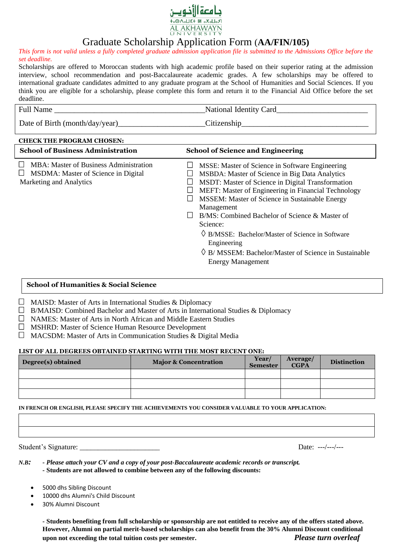

# Graduate Scholarship Application Form (**AA/FIN/105)**

*This form is not valid unless a fully completed graduate admission application file is submitted to the Admissions Office before the set deadline.*

Scholarships are offered to Moroccan students with high academic profile based on their superior rating at the admission interview, school recommendation and post-Baccalaureate academic grades. A few scholarships may be offered to international graduate candidates admitted to any graduate program at the School of Humanities and Social Sciences. If you think you are eligible for a scholarship, please complete this form and return it to the Financial Aid Office before the set deadline.

| Ful <sub>1</sub><br>Name | National<br>Card<br>Identity<br>___ |
|--------------------------|-------------------------------------|

Date of Birth (month/day/year)\_\_\_\_\_\_\_\_\_\_\_\_\_\_\_\_\_\_\_\_\_\_Citizenship\_\_\_\_\_\_\_\_\_\_\_\_\_\_\_\_\_\_\_\_\_\_\_\_\_\_\_\_\_\_\_\_

| <b>CHECK THE PROGRAM CHOSEN:</b>                                                                              |                                                                                                                                                                                                                                                                                                                                                                                                                                                                                                                             |  |  |  |  |  |
|---------------------------------------------------------------------------------------------------------------|-----------------------------------------------------------------------------------------------------------------------------------------------------------------------------------------------------------------------------------------------------------------------------------------------------------------------------------------------------------------------------------------------------------------------------------------------------------------------------------------------------------------------------|--|--|--|--|--|
| <b>School of Business Administration</b>                                                                      | <b>School of Science and Engineering</b>                                                                                                                                                                                                                                                                                                                                                                                                                                                                                    |  |  |  |  |  |
| MBA: Master of Business Administration<br>MSDMA: Master of Science in Digital<br>ப<br>Marketing and Analytics | MSSE: Master of Science in Software Engineering<br><b>MSBDA: Master of Science in Big Data Analytics</b><br>MSDT: Master of Science in Digital Transformation<br>MEFT: Master of Engineering in Financial Technology<br>MSSEM: Master of Science in Sustainable Energy<br>Management<br>B/MS: Combined Bachelor of Science & Master of<br>Science:<br>$\Diamond$ B/MSSE: Bachelor/Master of Science in Software<br>Engineering<br>$\Diamond$ B/MSSEM: Bachelor/Master of Science in Sustainable<br><b>Energy Management</b> |  |  |  |  |  |

## **School of Humanities & Social Science**

- $\Box$  MAISD: Master of Arts in International Studies & Diplomacy
- $\Box$  B/MAISD: Combined Bachelor and Master of Arts in International Studies & Diplomacy
- NAMES: Master of Arts in North African and Middle Eastern Studies
- MSHRD: Master of Science Human Resource Development
- $\Box$  MACSDM: Master of Arts in Communication Studies & Digital Media

### **LIST OF ALL DEGREES OBTAINED STARTING WITH THE MOST RECENT ONE:**

| Degree(s) obtained | <b>Major &amp; Concentration</b> | Year/<br>Semester | <b>Average</b> /<br><b>CGPA</b> | <b>Distinction</b> |
|--------------------|----------------------------------|-------------------|---------------------------------|--------------------|
|                    |                                  |                   |                                 |                    |
|                    |                                  |                   |                                 |                    |
|                    |                                  |                   |                                 |                    |

#### **IN FRENCH OR ENGLISH, PLEASE SPECIFY THE ACHIEVEMENTS YOU CONSIDER VALUABLE TO YOUR APPLICATION:**

Student's Signature: \_\_\_\_\_\_\_\_\_\_\_\_\_\_\_\_\_\_\_\_\_\_ Date: ---/---/---

*N.B: - Please attach your CV and a copy of your post-Baccalaureate academic records or transcript. -* **Students are not allowed to combine between any of the following discounts:** 

- 5000 dhs Sibling Discount
- 10000 dhs Alumni's Child Discount
- 30% Alumni Discount

*-* **Students benefiting from full scholarship or sponsorship are not entitled to receive any of the offers stated above. However, Alumni on partial merit-based scholarships can also benefit from the 30% Alumni Discount conditional upon not exceeding the total tuition costs per semester.** *Please turn overleaf*